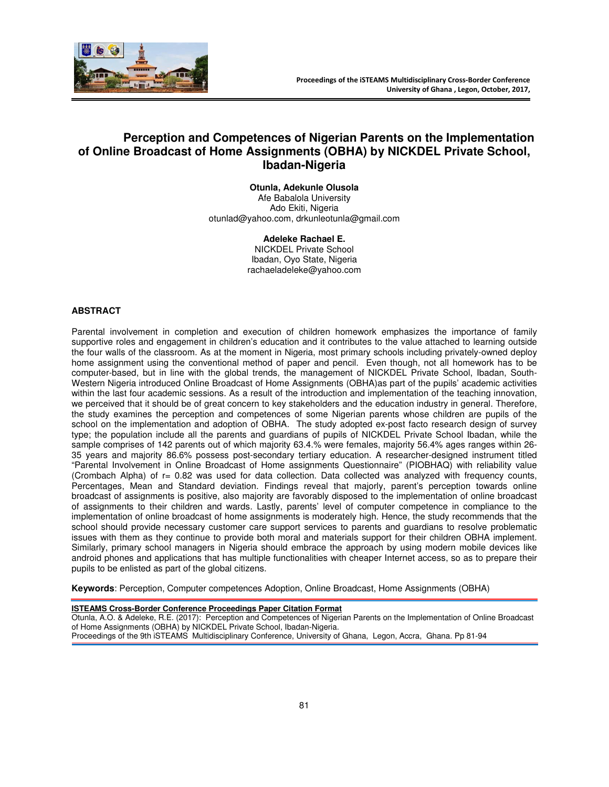

# **Perception and Competences of Nigerian Parents on the Implementation of Online Broadcast of Home Assignments (OBHA) by NICKDEL Private School, Ibadan-Nigeria**

**Otunla, Adekunle Olusola**  Afe Babalola University Ado Ekiti, Nigeria otunlad@yahoo.com, drkunleotunla@gmail.com

> **Adeleke Rachael E.**  NICKDEL Private School Ibadan, Oyo State, Nigeria rachaeladeleke@yahoo.com

## **ABSTRACT**

Parental involvement in completion and execution of children homework emphasizes the importance of family supportive roles and engagement in children's education and it contributes to the value attached to learning outside the four walls of the classroom. As at the moment in Nigeria, most primary schools including privately-owned deploy home assignment using the conventional method of paper and pencil. Even though, not all homework has to be computer-based, but in line with the global trends, the management of NICKDEL Private School, Ibadan, South-Western Nigeria introduced Online Broadcast of Home Assignments (OBHA)as part of the pupils' academic activities within the last four academic sessions. As a result of the introduction and implementation of the teaching innovation, we perceived that it should be of great concern to key stakeholders and the education industry in general. Therefore, the study examines the perception and competences of some Nigerian parents whose children are pupils of the school on the implementation and adoption of OBHA. The study adopted ex-post facto research design of survey type; the population include all the parents and guardians of pupils of NICKDEL Private School Ibadan, while the sample comprises of 142 parents out of which majority 63.4.% were females, majority 56.4% ages ranges within 26- 35 years and majority 86.6% possess post-secondary tertiary education. A researcher-designed instrument titled "Parental Involvement in Online Broadcast of Home assignments Questionnaire" (PIOBHAQ) with reliability value (Crombach Alpha) of r= 0.82 was used for data collection. Data collected was analyzed with frequency counts, Percentages, Mean and Standard deviation. Findings reveal that majorly, parent's perception towards online broadcast of assignments is positive, also majority are favorably disposed to the implementation of online broadcast of assignments to their children and wards. Lastly, parents' level of computer competence in compliance to the implementation of online broadcast of home assignments is moderately high. Hence, the study recommends that the school should provide necessary customer care support services to parents and guardians to resolve problematic issues with them as they continue to provide both moral and materials support for their children OBHA implement. Similarly, primary school managers in Nigeria should embrace the approach by using modern mobile devices like android phones and applications that has multiple functionalities with cheaper Internet access, so as to prepare their pupils to be enlisted as part of the global citizens.

**Keywords**: Perception, Computer competences Adoption, Online Broadcast, Home Assignments (OBHA)

#### **ISTEAMS Cross-Border Conference Proceedings Paper Citation Format**

Otunla, A.O. & Adeleke, R.E. (2017): Perception and Competences of Nigerian Parents on the Implementation of Online Broadcast of Home Assignments (OBHA) by NICKDEL Private School, Ibadan-Nigeria. Proceedings of the 9th iSTEAMS Multidisciplinary Conference, University of Ghana, Legon, Accra, Ghana. Pp 81-94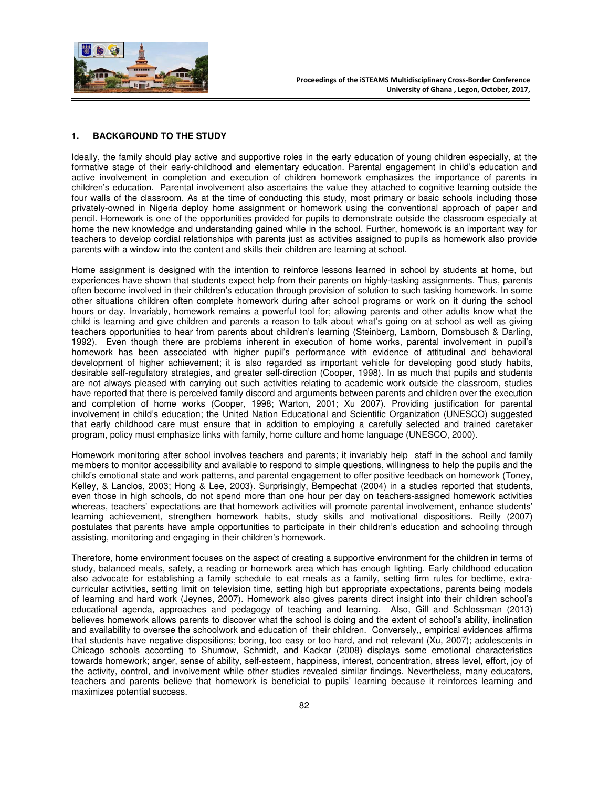

#### **1. BACKGROUND TO THE STUDY**

Ideally, the family should play active and supportive roles in the early education of young children especially, at the formative stage of their early-childhood and elementary education. Parental engagement in child's education and active involvement in completion and execution of children homework emphasizes the importance of parents in children's education. Parental involvement also ascertains the value they attached to cognitive learning outside the four walls of the classroom. As at the time of conducting this study, most primary or basic schools including those privately-owned in Nigeria deploy home assignment or homework using the conventional approach of paper and pencil. Homework is one of the opportunities provided for pupils to demonstrate outside the classroom especially at home the new knowledge and understanding gained while in the school. Further, homework is an important way for teachers to develop cordial relationships with parents just as activities assigned to pupils as homework also provide parents with a window into the content and skills their children are learning at school.

Home assignment is designed with the intention to reinforce lessons learned in school by students at home, but experiences have shown that students expect help from their parents on highly-tasking assignments. Thus, parents often become involved in their children's education through provision of solution to such tasking homework. In some other situations children often complete homework during after school programs or work on it during the school hours or day. Invariably, homework remains a powerful tool for; allowing parents and other adults know what the child is learning and give children and parents a reason to talk about what's going on at school as well as giving teachers opportunities to hear from parents about children's learning (Steinberg, Lamborn, Dornsbusch & Darling, 1992). Even though there are problems inherent in execution of home works, parental involvement in pupil's homework has been associated with higher pupil's performance with evidence of attitudinal and behavioral development of higher achievement; it is also regarded as important vehicle for developing good study habits, desirable self-regulatory strategies, and greater self-direction (Cooper, 1998). In as much that pupils and students are not always pleased with carrying out such activities relating to academic work outside the classroom, studies have reported that there is perceived family discord and arguments between parents and children over the execution and completion of home works (Cooper, 1998; Warton, 2001; Xu 2007). Providing justification for parental involvement in child's education; the United Nation Educational and Scientific Organization (UNESCO) suggested that early childhood care must ensure that in addition to employing a carefully selected and trained caretaker program, policy must emphasize links with family, home culture and home language (UNESCO, 2000).

Homework monitoring after school involves teachers and parents; it invariably help staff in the school and family members to monitor accessibility and available to respond to simple questions, willingness to help the pupils and the child's emotional state and work patterns, and parental engagement to offer positive feedback on homework (Toney, Kelley, & Lanclos, 2003; Hong & Lee, 2003). Surprisingly, Bempechat (2004) in a studies reported that students, even those in high schools, do not spend more than one hour per day on teachers-assigned homework activities whereas, teachers' expectations are that homework activities will promote parental involvement, enhance students' learning achievement, strengthen homework habits, study skills and motivational dispositions. Reilly (2007) postulates that parents have ample opportunities to participate in their children's education and schooling through assisting, monitoring and engaging in their children's homework.

Therefore, home environment focuses on the aspect of creating a supportive environment for the children in terms of study, balanced meals, safety, a reading or homework area which has enough lighting. Early childhood education also advocate for establishing a family schedule to eat meals as a family, setting firm rules for bedtime, extracurricular activities, setting limit on television time, setting high but appropriate expectations, parents being models of learning and hard work (Jeynes, 2007). Homework also gives parents direct insight into their children school's educational agenda, approaches and pedagogy of teaching and learning. Also, Gill and Schlossman (2013) believes homework allows parents to discover what the school is doing and the extent of school's ability, inclination and availability to oversee the schoolwork and education of their children. Conversely,, empirical evidences affirms that students have negative dispositions; boring, too easy or too hard, and not relevant (Xu, 2007); adolescents in Chicago schools according to Shumow, Schmidt, and Kackar (2008) displays some emotional characteristics towards homework; anger, sense of ability, self-esteem, happiness, interest, concentration, stress level, effort, joy of the activity, control, and involvement while other studies revealed similar findings. Nevertheless, many educators, teachers and parents believe that homework is beneficial to pupils' learning because it reinforces learning and maximizes potential success.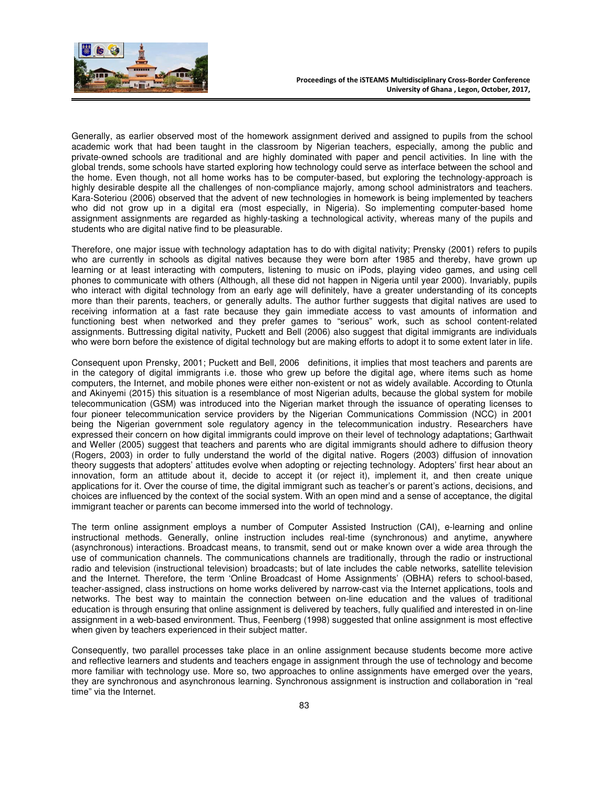

Generally, as earlier observed most of the homework assignment derived and assigned to pupils from the school academic work that had been taught in the classroom by Nigerian teachers, especially, among the public and private-owned schools are traditional and are highly dominated with paper and pencil activities. In line with the global trends, some schools have started exploring how technology could serve as interface between the school and the home. Even though, not all home works has to be computer-based, but exploring the technology-approach is highly desirable despite all the challenges of non-compliance majorly, among school administrators and teachers. Kara-Soteriou (2006) observed that the advent of new technologies in homework is being implemented by teachers who did not grow up in a digital era (most especially, in Nigeria). So implementing computer-based home assignment assignments are regarded as highly-tasking a technological activity, whereas many of the pupils and students who are digital native find to be pleasurable.

Therefore, one major issue with technology adaptation has to do with digital nativity; Prensky (2001) refers to pupils who are currently in schools as digital natives because they were born after 1985 and thereby, have grown up learning or at least interacting with computers, listening to music on iPods, playing video games, and using cell phones to communicate with others (Although, all these did not happen in Nigeria until year 2000). Invariably, pupils who interact with digital technology from an early age will definitely, have a greater understanding of its concepts more than their parents, teachers, or generally adults. The author further suggests that digital natives are used to receiving information at a fast rate because they gain immediate access to vast amounts of information and functioning best when networked and they prefer games to "serious" work, such as school content-related assignments. Buttressing digital nativity, Puckett and Bell (2006) also suggest that digital immigrants are individuals who were born before the existence of digital technology but are making efforts to adopt it to some extent later in life.

Consequent upon Prensky, 2001; Puckett and Bell, 2006 definitions, it implies that most teachers and parents are in the category of digital immigrants i.e. those who grew up before the digital age, where items such as home computers, the Internet, and mobile phones were either non-existent or not as widely available. According to Otunla and Akinyemi (2015) this situation is a resemblance of most Nigerian adults, because the global system for mobile telecommunication (GSM) was introduced into the Nigerian market through the issuance of operating licenses to four pioneer telecommunication service providers by the Nigerian Communications Commission (NCC) in 2001 being the Nigerian government sole regulatory agency in the telecommunication industry. Researchers have expressed their concern on how digital immigrants could improve on their level of technology adaptations; Garthwait and Weller (2005) suggest that teachers and parents who are digital immigrants should adhere to diffusion theory (Rogers, 2003) in order to fully understand the world of the digital native. Rogers (2003) diffusion of innovation theory suggests that adopters' attitudes evolve when adopting or rejecting technology. Adopters' first hear about an innovation, form an attitude about it, decide to accept it (or reject it), implement it, and then create unique applications for it. Over the course of time, the digital immigrant such as teacher's or parent's actions, decisions, and choices are influenced by the context of the social system. With an open mind and a sense of acceptance, the digital immigrant teacher or parents can become immersed into the world of technology.

The term online assignment employs a number of Computer Assisted Instruction (CAI), e-learning and online instructional methods. Generally, online instruction includes real-time (synchronous) and anytime, anywhere (asynchronous) interactions. Broadcast means, to transmit, send out or make known over a wide area through the use of communication channels. The communications channels are traditionally, through the radio or instructional radio and television (instructional television) broadcasts; but of late includes the cable networks, satellite television and the Internet. Therefore, the term 'Online Broadcast of Home Assignments' (OBHA) refers to school-based, teacher-assigned, class instructions on home works delivered by narrow-cast via the Internet applications, tools and networks. The best way to maintain the connection between on-line education and the values of traditional education is through ensuring that online assignment is delivered by teachers, fully qualified and interested in on-line assignment in a web-based environment. Thus, Feenberg (1998) suggested that online assignment is most effective when given by teachers experienced in their subject matter.

Consequently, two parallel processes take place in an online assignment because students become more active and reflective learners and students and teachers engage in assignment through the use of technology and become more familiar with technology use. More so, two approaches to online assignments have emerged over the years, they are synchronous and asynchronous learning. Synchronous assignment is instruction and collaboration in "real time" via the Internet.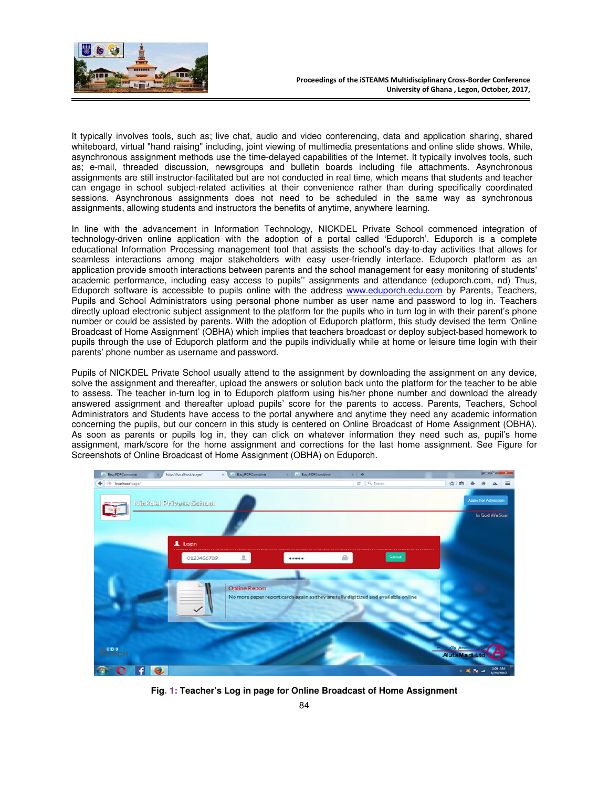

It typically involves tools, such as; live chat, audio and video conferencing, data and application sharing, shared whiteboard, virtual "hand raising" including, joint viewing of multimedia presentations and online slide shows. While, asynchronous assignment methods use the time-delayed capabilities of the Internet. It typically involves tools, such as; e-mail, threaded discussion, newsgroups and bulletin boards including file attachments. Asynchronous assignments are still instructor-facilitated but are not conducted in real time, which means that students and teacher can engage in school subject-related activities at their convenience rather than during specifically coordinated sessions. Asynchronous assignments does not need to be scheduled in the same way as synchronous assignments, allowing students and instructors the benefits of anytime, anywhere learning.

In line with the advancement in Information Technology, NICKDEL Private School commenced integration of technology-driven online application with the adoption of a portal called 'Eduporch'. Eduporch is a complete educational Information Processing management tool that assists the school's day-to-day activities that allows for seamless interactions among major stakeholders with easy user-friendly interface. Eduporch platform as an application provide smooth interactions between parents and the school management for easy monitoring of students' academic performance, including easy access to pupils'' assignments and attendance (eduporch.com, nd) Thus, Eduporch software is accessible to pupils online with the address www.eduporch.edu.com by Parents, Teachers, Pupils and School Administrators using personal phone number as user name and password to log in. Teachers directly upload electronic subject assignment to the platform for the pupils who in turn log in with their parent's phone number or could be assisted by parents. With the adoption of Eduporch platform, this study devised the term 'Online Broadcast of Home Assignment' (OBHA) which implies that teachers broadcast or deploy subject-based homework to pupils through the use of Eduporch platform and the pupils individually while at home or leisure time login with their parents' phone number as username and password.

Pupils of NICKDEL Private School usually attend to the assignment by downloading the assignment on any device, solve the assignment and thereafter, upload the answers or solution back unto the platform for the teacher to be able to assess. The teacher in-turn log in to Eduporch platform using his/her phone number and download the already answered assignment and thereafter upload pupils' score for the parents to access. Parents, Teachers, School Administrators and Students have access to the portal anywhere and anytime they need any academic information concerning the pupils, but our concern in this study is centered on Online Broadcast of Home Assignment (OBHA). As soon as parents or pupils log in, they can click on whatever information they need such as, pupil's home assignment, mark/score for the home assignment and corrections for the last home assignment. See Figure for Screenshots of Online Broadcast of Home Assignment (OBHA) on Eduporch.



**Fig. 1: Teacher's Log in page for Online Broadcast of Home Assignment**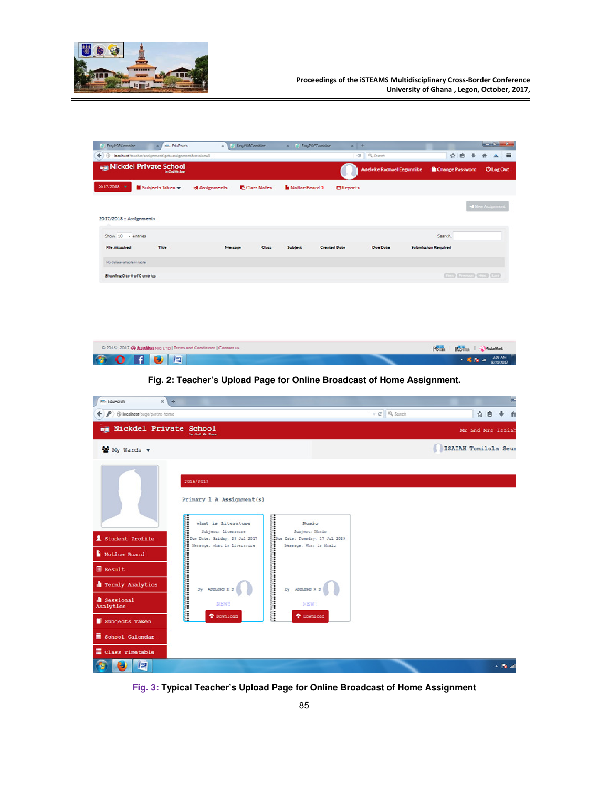

Class Timetable DE

G.

| + 0 localhost/texcher/assignment/get=assignment&session=3 |                                                                                                                                                      |                                                                                                                                                                                                                                                            |                     | C Q Search                     |                             | ☆ 自 ↓ 含 ▲ 三              |
|-----------------------------------------------------------|------------------------------------------------------------------------------------------------------------------------------------------------------|------------------------------------------------------------------------------------------------------------------------------------------------------------------------------------------------------------------------------------------------------------|---------------------|--------------------------------|-----------------------------|--------------------------|
| <b>REA</b> Nickdel Private School                         |                                                                                                                                                      |                                                                                                                                                                                                                                                            |                     | Adeleke Rachael Eegunnike      | Change Password             | <b>OlogOut</b>           |
| 2017/2018 V Subjects Taken v                              | <b>Assignments</b>                                                                                                                                   | Class Notes<br>Notice Board 0                                                                                                                                                                                                                              | <b>El Reports</b>   |                                |                             |                          |
|                                                           |                                                                                                                                                      |                                                                                                                                                                                                                                                            |                     |                                |                             | <b>If New Assignment</b> |
| 2017/2018 :: Assignments                                  |                                                                                                                                                      |                                                                                                                                                                                                                                                            |                     |                                |                             |                          |
| Show 10 - entries                                         |                                                                                                                                                      |                                                                                                                                                                                                                                                            |                     |                                | Search:                     |                          |
| Title<br><b>File Attached</b>                             | Message                                                                                                                                              | Class<br>Subject                                                                                                                                                                                                                                           | <b>Created Date</b> | Due Date                       | <b>Submission Regulred</b>  |                          |
| No data available in table                                |                                                                                                                                                      |                                                                                                                                                                                                                                                            |                     |                                |                             |                          |
| Showing 0 to 0 of 0 entries                               |                                                                                                                                                      |                                                                                                                                                                                                                                                            |                     |                                | $\circledcirc$              |                          |
|                                                           |                                                                                                                                                      |                                                                                                                                                                                                                                                            |                     |                                |                             |                          |
|                                                           |                                                                                                                                                      |                                                                                                                                                                                                                                                            |                     |                                |                             |                          |
|                                                           |                                                                                                                                                      |                                                                                                                                                                                                                                                            |                     |                                |                             |                          |
|                                                           |                                                                                                                                                      |                                                                                                                                                                                                                                                            |                     |                                |                             |                          |
|                                                           |                                                                                                                                                      |                                                                                                                                                                                                                                                            |                     |                                |                             |                          |
|                                                           | © 2015 - 2017 @ ALITAMART NIG LTD   Terms and Conditions   Contact us                                                                                |                                                                                                                                                                                                                                                            |                     |                                | Posse   Porter   a AutoMart |                          |
| O                                                         | 樰                                                                                                                                                    |                                                                                                                                                                                                                                                            |                     |                                | $-8.8 -$                    | 308.4M<br>8/21/2017      |
|                                                           |                                                                                                                                                      |                                                                                                                                                                                                                                                            |                     |                                |                             |                          |
|                                                           | Fig. 2: Teacher's Upload Page for Online Broadcast of Home Assignment.                                                                               |                                                                                                                                                                                                                                                            |                     |                                |                             |                          |
|                                                           |                                                                                                                                                      |                                                                                                                                                                                                                                                            |                     |                                |                             |                          |
| <b>KR.</b> EduPorch<br>$x +$                              |                                                                                                                                                      |                                                                                                                                                                                                                                                            |                     |                                |                             |                          |
| ← ♪ @ localhost/page/parent-home                          |                                                                                                                                                      |                                                                                                                                                                                                                                                            |                     | $\nabla \mathcal{C}$ Q, Search |                             | ☆ 自 → 自                  |
| <b>ng Nickdel Private School</b>                          | In God We :                                                                                                                                          |                                                                                                                                                                                                                                                            |                     |                                |                             | Mr and Mrs Isaiah        |
| My Wards v                                                |                                                                                                                                                      |                                                                                                                                                                                                                                                            |                     |                                | ISAIAH Tomilola Seur        |                          |
|                                                           |                                                                                                                                                      |                                                                                                                                                                                                                                                            |                     |                                |                             |                          |
|                                                           |                                                                                                                                                      |                                                                                                                                                                                                                                                            |                     |                                |                             |                          |
|                                                           | 2016/2017                                                                                                                                            |                                                                                                                                                                                                                                                            |                     |                                |                             |                          |
|                                                           | Primary 1 A Assignment(s)                                                                                                                            |                                                                                                                                                                                                                                                            |                     |                                |                             |                          |
|                                                           |                                                                                                                                                      |                                                                                                                                                                                                                                                            |                     |                                |                             |                          |
|                                                           |                                                                                                                                                      |                                                                                                                                                                                                                                                            |                     |                                |                             |                          |
|                                                           |                                                                                                                                                      |                                                                                                                                                                                                                                                            |                     |                                |                             |                          |
|                                                           |                                                                                                                                                      | <b>The Control Control</b><br>Music<br>Subject: Music                                                                                                                                                                                                      |                     |                                |                             |                          |
| Student Profile                                           |                                                                                                                                                      |                                                                                                                                                                                                                                                            |                     |                                |                             |                          |
| Notice Board                                              |                                                                                                                                                      |                                                                                                                                                                                                                                                            |                     |                                |                             |                          |
| <b>B</b> Result                                           |                                                                                                                                                      |                                                                                                                                                                                                                                                            |                     |                                |                             |                          |
| <b>d</b> Termly Analytics                                 |                                                                                                                                                      |                                                                                                                                                                                                                                                            |                     |                                |                             |                          |
| di Sessional<br>Analytics                                 |                                                                                                                                                      |                                                                                                                                                                                                                                                            |                     |                                |                             |                          |
| Subjects Taken                                            | what is Literature<br>Subject: Literature<br>Des Dates Friday, 23 July 2012<br>Merange: what is Literature<br>By APLES R & NEW!<br>Py APLES R & NEW! | Subject: Maxic<br>Date: Date: Therday, 17 Jul 2029<br>Measurge: Wats is Maxic<br>MENT<br>Py ADELECE R R<br>NENT<br>Py ADELECE R R<br>NENT<br>Py ADELECE R R<br>Py ADELECE R R<br>Py ADELECE R R<br>Py ADELECE R R<br>Py ADELECE R R<br>Py ADELECE R R<br>P |                     |                                |                             |                          |

**Fig. 3: Typical Teacher's Upload Page for Online Broadcast of Home Assignment** 

 $\sim 10$   $\mu$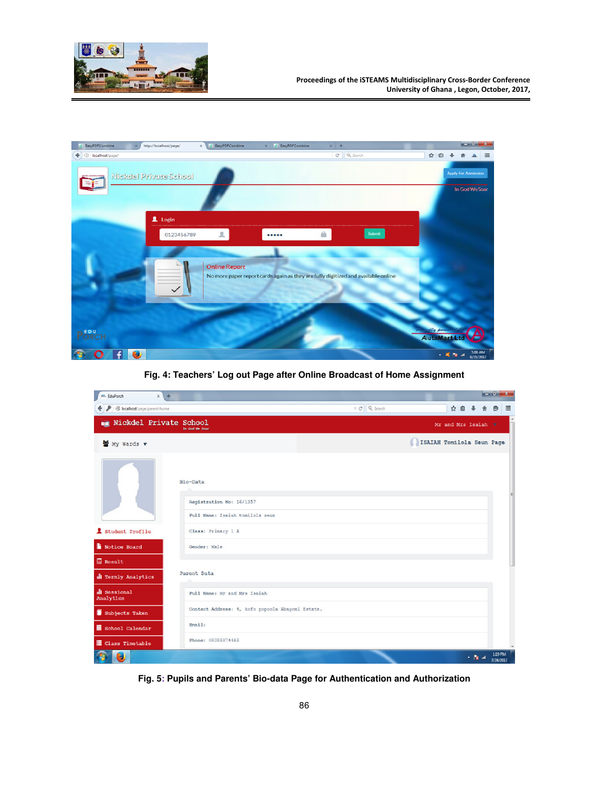

| EasyPDFCombine      | http://localhost/page/ | x ElseyPDFCombine    | x F ExcyPDFCombine                                                                | $x +$         |                              |                            |                                       | <b>STATISTICS</b> |
|---------------------|------------------------|----------------------|-----------------------------------------------------------------------------------|---------------|------------------------------|----------------------------|---------------------------------------|-------------------|
| ← © localhost/page/ |                        |                      |                                                                                   | $C$ Q Sepreth |                              | ☆ 自<br>÷                   |                                       | $\equiv$          |
|                     | Nickdel Private School |                      |                                                                                   |               |                              |                            | Apply For Admission<br>In God We Soar |                   |
|                     | 1 Login                |                      |                                                                                   |               |                              |                            |                                       |                   |
|                     | 0123456789             | 土                    |                                                                                   |               | $\mathsf{Stom} \mathfrak{t}$ |                            |                                       |                   |
|                     |                        | <b>Online Report</b> | No more paper report cards again as they are fully digitized and available online |               |                              |                            |                                       |                   |
| <b>PORCH</b>        |                        |                      |                                                                                   |               |                              | the power<br>AlutaMart Ltd |                                       |                   |
| n                   | э.                     |                      |                                                                                   |               |                              | - 尾海道                      |                                       | 306.AM            |

**Fig. 4: Teachers' Log out Page after Online Broadcast of Home Assignment** 

| m. EduPorch<br>$x +$          |                                                  |                     |                           |                     |       | $-0-x$               |          |
|-------------------------------|--------------------------------------------------|---------------------|---------------------------|---------------------|-------|----------------------|----------|
| B localhost page/parent-home  |                                                  | $\tau$ $C$ Q Search |                           | ☆自→                 |       |                      | $\equiv$ |
| <b>Nickdel Private School</b> |                                                  |                     |                           | Mr and Mrs Isaiah v |       |                      |          |
| My Wards v                    |                                                  |                     | ISAIAH Tomilola Seun Page |                     |       |                      |          |
|                               |                                                  |                     |                           |                     |       |                      |          |
|                               | Bio-Data                                         |                     |                           |                     |       |                      |          |
|                               | Registration No: 16/1357                         |                     |                           |                     |       |                      |          |
|                               | Full Name: Isaiah tomilola seun                  |                     |                           |                     |       |                      |          |
| 1 Student Profile             | Class: Primary 1 A                               |                     |                           |                     |       |                      |          |
| Notice Board                  | Gender: Male                                     |                     |                           |                     |       |                      |          |
| 目 Result                      |                                                  |                     |                           |                     |       |                      |          |
| <b>d</b> Termly Analytics     | Parent Data                                      |                     |                           |                     |       |                      |          |
| di Sessional<br>Analytics     | Full Name: Mr and Mrs Isaiah                     |                     |                           |                     |       |                      |          |
| Subjects Taken                | Contact Address: 4, kofo popoola Abayomi Estate. |                     |                           |                     |       |                      |          |
| School Calendar               | <b>Email:</b>                                    |                     |                           |                     |       |                      |          |
| <b>E</b> Class Timetable      | Phone: 08088874468                               |                     |                           |                     |       |                      |          |
| э                             |                                                  |                     |                           |                     | $+34$ | 1:39 PM<br>7/24/2017 |          |

**Fig. 5: Pupils and Parents' Bio-data Page for Authentication and Authorization**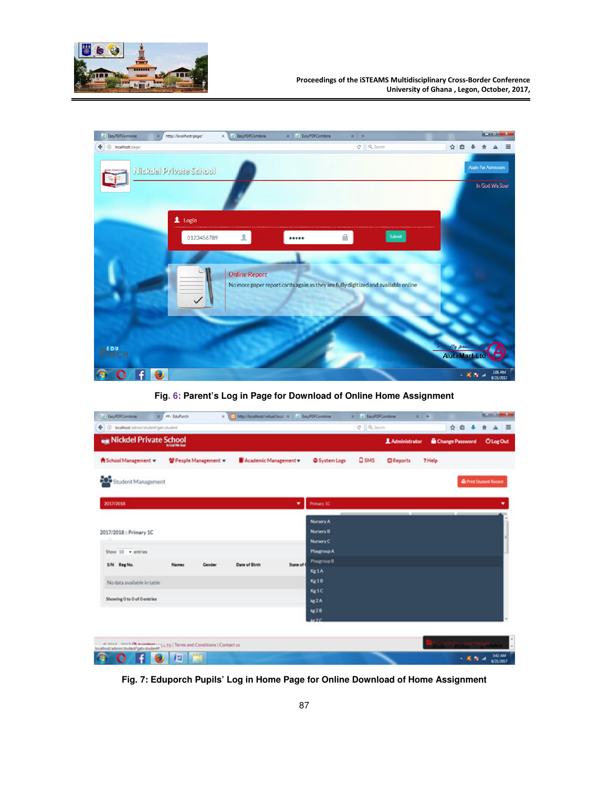



**Fig. 6: Parent's Log in Page for Download of Online Home Assignment** 

| // EasyPDFCombine<br>×                                                                              | <b>M. EduPorch</b> |                       | x (2) http://ocalhost/virtual/foca: x   /   Excel/DFCombine |            |                        | x E En/OfCombine |                  | $x + 4$ |                 |          | <b>ALCOHOL:</b>               |                                   |
|-----------------------------------------------------------------------------------------------------|--------------------|-----------------------|-------------------------------------------------------------|------------|------------------------|------------------|------------------|---------|-----------------|----------|-------------------------------|-----------------------------------|
| . (i) localhost/admin/student/getratudent                                                           |                    |                       |                                                             |            |                        | $C$ $Q$ States   |                  |         | 宜<br>o          |          |                               | $=$                               |
| <b>Nickdel Private School</b>                                                                       |                    |                       |                                                             |            |                        |                  | 1 Administrator  |         | Change Password |          | <b>OlogOut</b>                |                                   |
| <b>A</b> School Management                                                                          |                    | 발 People Management + | Academic Management v                                       |            | System Logs            | <b>Q</b> SMS     | <b>D</b> Reports | ? Help  |                 |          |                               |                                   |
| 606<br>Student Management                                                                           |                    |                       |                                                             |            |                        |                  |                  |         |                 |          | <b>G</b> Print Student Record |                                   |
| 2017/2018                                                                                           |                    |                       |                                                             | ۰          | Primary SC             |                  |                  |         |                 |          |                               |                                   |
|                                                                                                     |                    |                       |                                                             |            | Nursery A              |                  |                  |         |                 |          |                               |                                   |
| 2017/2018 :: Primary 1C                                                                             |                    |                       |                                                             |            | Nursery B<br>Nursery C |                  |                  |         |                 |          |                               |                                   |
| Show 10 - entries                                                                                   |                    |                       |                                                             |            | Playgroup A            |                  |                  |         |                 |          |                               |                                   |
| S/N<br><b>Regists</b>                                                                               | <b>Names</b>       | Gender                | Date of Birth                                               | State of 6 | Playgroup B<br>Kg1A    |                  |                  |         |                 |          |                               |                                   |
| No data available in table                                                                          |                    |                       |                                                             |            | Kg18                   |                  |                  |         |                 |          |                               |                                   |
|                                                                                                     |                    |                       |                                                             |            | Keite:                 |                  |                  |         |                 |          |                               |                                   |
| Showing 0 to 0 of 0 entries                                                                         |                    |                       |                                                             |            | kg2A                   |                  |                  |         |                 |          |                               |                                   |
|                                                                                                     |                    |                       |                                                             |            | kg2B<br>122            |                  |                  |         |                 |          |                               |                                   |
| A 4442 ANT A Bandber  5 LTD   Terms and Conditions   Contact us localhost administrated per student |                    |                       |                                                             |            |                        |                  |                  |         |                 |          |                               |                                   |
| π<br>£<br>n                                                                                         | 721<br>80 L        |                       |                                                             |            |                        |                  |                  |         |                 | $-8.5 -$ |                               | 342 AM<br><b>Burner Planet To</b> |

**Fig. 7: Eduporch Pupils' Log in Home Page for Online Download of Home Assignment**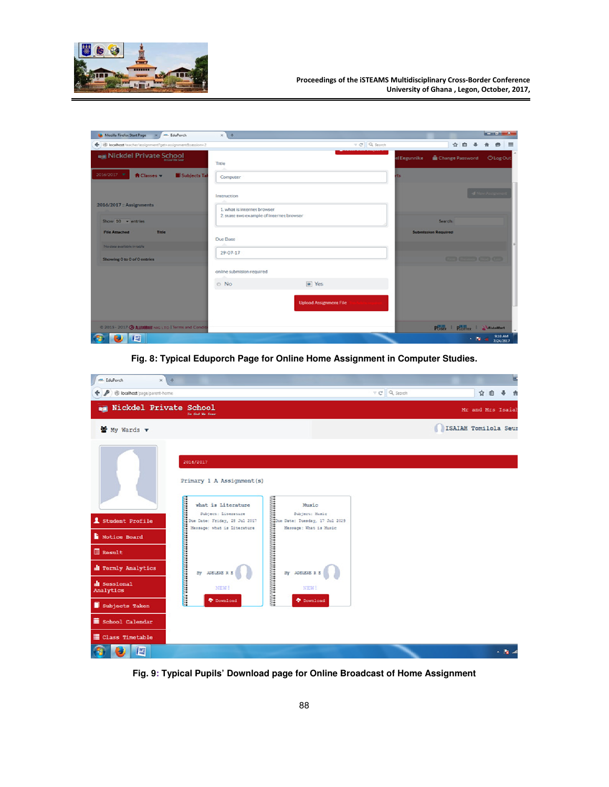

| Mozilla Firefox Start Page X MI EduPorch                  | $x +$                                                                   |                               |                         |                                   | $-0.1$                        |
|-----------------------------------------------------------|-------------------------------------------------------------------------|-------------------------------|-------------------------|-----------------------------------|-------------------------------|
| + B localhost/teacher/assignment/get=assignment8session=2 |                                                                         |                               | $\forall$ $C$ Q, Search | ☆自 ↓                              | $=$<br>$\bullet$              |
| <b>Nickdel Private School</b>                             | Title                                                                   |                               |                         |                                   |                               |
| 2016/2017 -<br><b>A</b> Classes w<br>Subjects Tal         | Computer                                                                |                               | its                     |                                   |                               |
|                                                           | Instruction                                                             |                               |                         |                                   |                               |
| 2016/2017 :: Assignments                                  | 1. what is internet browser<br>2. state two example of internet browser |                               |                         |                                   |                               |
| Show $10 -$ entries                                       |                                                                         |                               |                         | Search:                           |                               |
| <b>File Attached</b><br>Title                             | Due Date                                                                |                               |                         | <b>Submission Required</b>        |                               |
| No data available in table                                | 29-07-17                                                                |                               |                         |                                   |                               |
| Showing 0 to 0 of 0 entries                               |                                                                         |                               |                         | <b>Grand Grande</b> (1983) (1983) |                               |
|                                                           | online submision required                                               |                               |                         |                                   |                               |
|                                                           | O No                                                                    | $\boxed{\bullet}$ Yes         |                         |                                   |                               |
|                                                           |                                                                         | <b>Upload Assignment File</b> |                         |                                   |                               |
|                                                           |                                                                         |                               |                         |                                   |                               |
| © 2015 - 2017 @ AUTOMART NIG LTD   Terms and Condit       |                                                                         |                               |                         | POSS   POTTER   SARAMANT          |                               |
| 檀                                                         |                                                                         |                               |                         |                                   | 9:10 AM<br>$-32 \times 10000$ |

**Fig. 8: Typical Eduporch Page for Online Home Assignment in Computer Studies.** 



**Fig. 9: Typical Pupils' Download page for Online Broadcast of Home Assignment**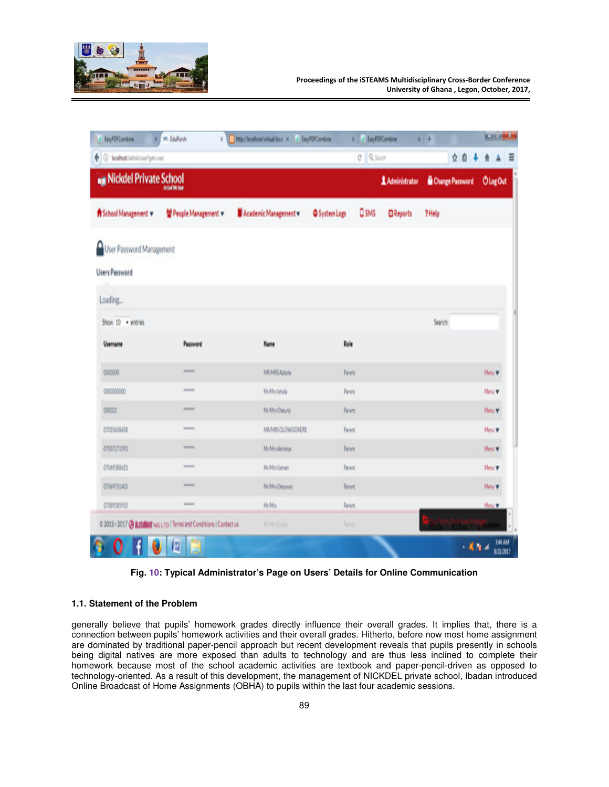

| ( @ localhost/admin/use/getsuser |                                                                      |                     |                      | $C$ $Q$ Spot              | ğ.<br>10        |         |
|----------------------------------|----------------------------------------------------------------------|---------------------|----------------------|---------------------------|-----------------|---------|
| Nickdel Private School           |                                                                      |                     |                      | Administrator             | Change Password | OlogOut |
| A School Management v            | 발 People Management +                                                | Academic Management | <b>O</b> System Logs | Q SMS<br><b>O</b> Reports | ? Help          |         |
| User Password Management         |                                                                      |                     |                      |                           |                 |         |
| <b>Users Password</b>            |                                                                      |                     |                      |                           |                 |         |
| Loading                          |                                                                      |                     |                      |                           |                 |         |
| Show 10 . entries                |                                                                      |                     |                      |                           | Search          |         |
| Username                         | Password                                                             | Name                | Role                 |                           |                 |         |
| 0000000                          | <b>Homes</b>                                                         | MRMRS Artista       | Parent               |                           |                 | Melu w  |
| 0000000000                       | <b>ALCOHOL</b>                                                       | MrMrs latela        | Parent               |                           |                 | Manu W  |
| 000022                           | mmm                                                                  | MrMrs Olatunji      | Parent               |                           |                 | Manu W  |
| 07055658458                      | <b>MARINE</b>                                                        | MR/MRS OLOWDOKERE   | Parent               |                           |                 | Manu W  |
| 07057273393                      | <b>Hintment</b>                                                      | Mr/Mrs Akinleye     | Parent               |                           |                 | Mary W  |
| 07069388623                      | <b>EXECUTIVE</b>                                                     | Mr.Mrs Usman        | <b>Parent</b>        |                           |                 | Menu W  |
| 07069705403                      | <b>Home</b>                                                          | Mr/Mrs Oseyowa      | Parent               |                           |                 | Meru W  |
| 07089385935                      | <b>ISSUED</b>                                                        | McMos               | Parent               |                           |                 | Many W  |
|                                  | C 2015 : 2017 @ ALIUMERT NIG LTD   Terms and Conditions   Contact us | <b>M.M.Diok</b>     | Time                 |                           |                 |         |

**Fig. 10: Typical Administrator's Page on Users' Details for Online Communication** 

## **1.1. Statement of the Problem**

generally believe that pupils' homework grades directly influence their overall grades. It implies that, there is a connection between pupils' homework activities and their overall grades. Hitherto, before now most home assignment are dominated by traditional paper-pencil approach but recent development reveals that pupils presently in schools being digital natives are more exposed than adults to technology and are thus less inclined to complete their homework because most of the school academic activities are textbook and paper-pencil-driven as opposed to technology-oriented. As a result of this development, the management of NICKDEL private school, Ibadan introduced Online Broadcast of Home Assignments (OBHA) to pupils within the last four academic sessions.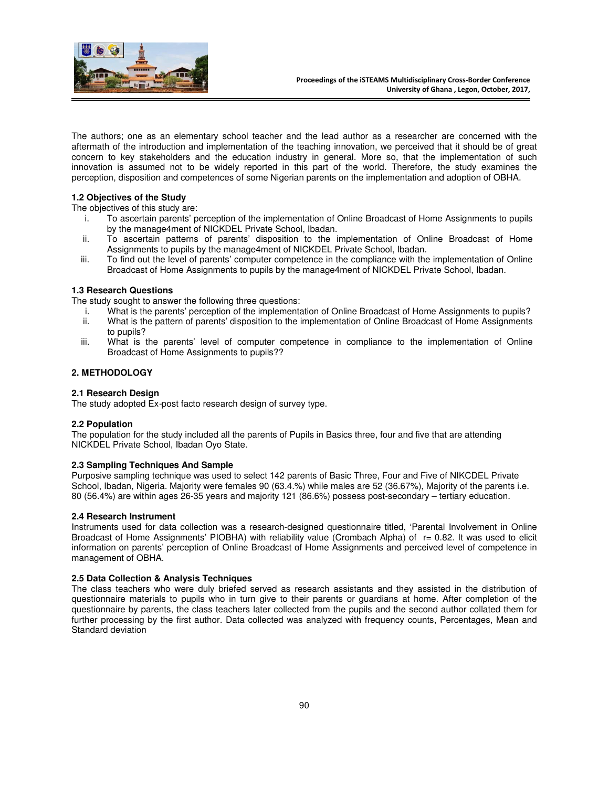

The authors; one as an elementary school teacher and the lead author as a researcher are concerned with the aftermath of the introduction and implementation of the teaching innovation, we perceived that it should be of great concern to key stakeholders and the education industry in general. More so, that the implementation of such innovation is assumed not to be widely reported in this part of the world. Therefore, the study examines the perception, disposition and competences of some Nigerian parents on the implementation and adoption of OBHA.

## **1.2 Objectives of the Study**

The objectives of this study are:

- i. To ascertain parents' perception of the implementation of Online Broadcast of Home Assignments to pupils by the manage4ment of NICKDEL Private School, Ibadan.
- ii. To ascertain patterns of parents' disposition to the implementation of Online Broadcast of Home Assignments to pupils by the manage4ment of NICKDEL Private School, Ibadan.
- iii. To find out the level of parents' computer competence in the compliance with the implementation of Online Broadcast of Home Assignments to pupils by the manage4ment of NICKDEL Private School, Ibadan.

## **1.3 Research Questions**

The study sought to answer the following three questions:

- i. What is the parents' perception of the implementation of Online Broadcast of Home Assignments to pupils?<br>ii. What is the pattern of parents' disposition to the implementation of Online Broadcast of Home Assignments
- What is the pattern of parents' disposition to the implementation of Online Broadcast of Home Assignments to pupils?
- iii. What is the parents' level of computer competence in compliance to the implementation of Online Broadcast of Home Assignments to pupils??

## **2. METHODOLOGY**

#### **2.1 Research Design**

The study adopted Ex-post facto research design of survey type.

## **2.2 Population**

The population for the study included all the parents of Pupils in Basics three, four and five that are attending NICKDEL Private School, Ibadan Oyo State.

## **2.3 Sampling Techniques And Sample**

Purposive sampling technique was used to select 142 parents of Basic Three, Four and Five of NIKCDEL Private School, Ibadan, Nigeria. Majority were females 90 (63.4.%) while males are 52 (36.67%), Majority of the parents i.e. 80 (56.4%) are within ages 26-35 years and majority 121 (86.6%) possess post-secondary – tertiary education.

#### **2.4 Research Instrument**

Instruments used for data collection was a research-designed questionnaire titled, 'Parental Involvement in Online Broadcast of Home Assignments' PIOBHA) with reliability value (Crombach Alpha) of r= 0.82. It was used to elicit information on parents' perception of Online Broadcast of Home Assignments and perceived level of competence in management of OBHA.

#### **2.5 Data Collection & Analysis Techniques**

The class teachers who were duly briefed served as research assistants and they assisted in the distribution of questionnaire materials to pupils who in turn give to their parents or guardians at home. After completion of the questionnaire by parents, the class teachers later collected from the pupils and the second author collated them for further processing by the first author. Data collected was analyzed with frequency counts, Percentages, Mean and Standard deviation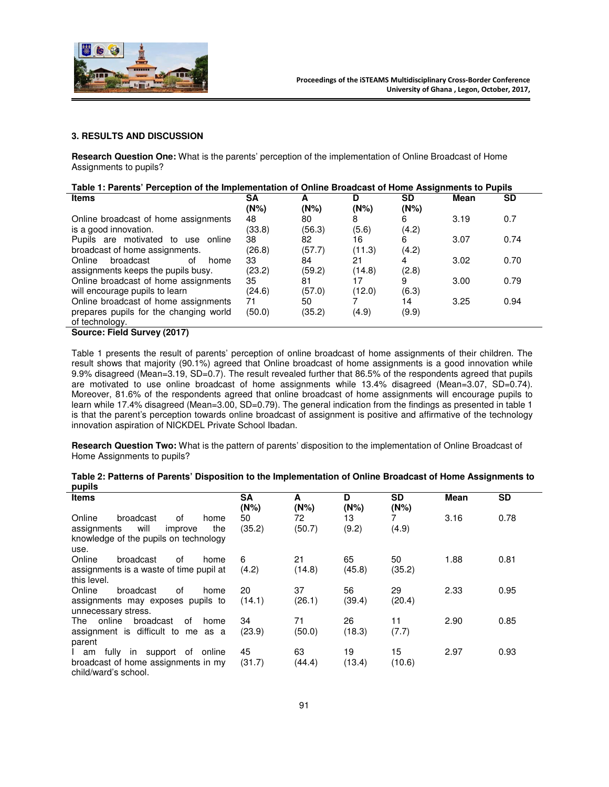

#### **3. RESULTS AND DISCUSSION**

**Research Question One:** What is the parents' perception of the implementation of Online Broadcast of Home Assignments to pupils?

| Table 1: Parents' Perception of the Implementation of Online Broadcast of Home Assignments to Pupils |        |        |         |       |             |      |  |  |  |
|------------------------------------------------------------------------------------------------------|--------|--------|---------|-------|-------------|------|--|--|--|
| <b>Items</b>                                                                                         | SΑ     |        |         | SD    | <b>Mean</b> | SD   |  |  |  |
|                                                                                                      | (N%)   | (N%)   | $(N\%)$ | (N%)  |             |      |  |  |  |
| Online broadcast of home assignments                                                                 | 48     | 80     |         | 6     | 3.19        | 0.7  |  |  |  |
| is a good innovation.                                                                                | (33.8) | (56.3) | (5.6)   | (4.2) |             |      |  |  |  |
| Pupils are motivated to use online                                                                   | 38     | 82     | 16      | 6     | 3.07        | 0.74 |  |  |  |
| broadcast of home assignments.                                                                       | (26.8) | (57.7) | (11.3)  | (4.2) |             |      |  |  |  |
| Online<br>broadcast<br>οf<br>home                                                                    | 33     | 84     | 21      |       | 3.02        | 0.70 |  |  |  |
| assignments keeps the pupils busy.                                                                   | (23.2) | (59.2) | (14.8)  | (2.8) |             |      |  |  |  |
| Online broadcast of home assignments                                                                 | 35     | 81     | 17      | 9     | 3.00        | 0.79 |  |  |  |
| will encourage pupils to learn                                                                       | (24.6) | (57.0) | (12.0)  | (6.3) |             |      |  |  |  |
| Online broadcast of home assignments                                                                 | 71     | 50     |         | 14    | 3.25        | 0.94 |  |  |  |
| prepares pupils for the changing world                                                               | (50.0) | (35.2) | (4.9)   | (9.9) |             |      |  |  |  |
| of technology.                                                                                       |        |        |         |       |             |      |  |  |  |
| Source: Field Survey (2017)                                                                          |        |        |         |       |             |      |  |  |  |

Table 1 presents the result of parents' perception of online broadcast of home assignments of their children. The result shows that majority (90.1%) agreed that Online broadcast of home assignments is a good innovation while 9.9% disagreed (Mean=3.19, SD=0.7). The result revealed further that 86.5% of the respondents agreed that pupils are motivated to use online broadcast of home assignments while 13.4% disagreed (Mean=3.07, SD=0.74). Moreover, 81.6% of the respondents agreed that online broadcast of home assignments will encourage pupils to learn while 17.4% disagreed (Mean=3.00, SD=0.79). The general indication from the findings as presented in table 1 is that the parent's perception towards online broadcast of assignment is positive and affirmative of the technology innovation aspiration of NICKDEL Private School Ibadan.

**Research Question Two:** What is the pattern of parents' disposition to the implementation of Online Broadcast of Home Assignments to pupils?

| Table 2: Patterns of Parents' Disposition to the Implementation of Online Broadcast of Home Assignments to |  |    |      |     |  |
|------------------------------------------------------------------------------------------------------------|--|----|------|-----|--|
| pupils                                                                                                     |  |    |      |     |  |
| <b>Items</b>                                                                                               |  | SD | Mean | SD. |  |

| Items                                    | SА<br>$(N\%)$ | A<br>$(N\%)$ | D<br>(N%) | SD<br>$(N\%)$ | Mean | SD   |  |
|------------------------------------------|---------------|--------------|-----------|---------------|------|------|--|
| Online<br>broadcast<br>οf<br>home        | 50            | 72           | 13        |               | 3.16 | 0.78 |  |
| will<br>the<br>assignments<br>improve    | (35.2)        | (50.7)       | (9.2)     | (4.9)         |      |      |  |
| knowledge of the pupils on technology    |               |              |           |               |      |      |  |
| use.                                     |               |              |           |               |      |      |  |
| Online<br>broadcast<br>οf<br>home        | 6             | 21           | 65        | 50            | 1.88 | 0.81 |  |
| assignments is a waste of time pupil at  | (4.2)         | (14.8)       | (45.8)    | (35.2)        |      |      |  |
| this level.                              |               |              |           |               |      |      |  |
| Online<br>οf<br>broadcast<br>home        | 20            | 37           | 56        | 29            | 2.33 | 0.95 |  |
| assignments may exposes pupils to        | (14.1)        | (26.1)       | (39.4)    | (20.4)        |      |      |  |
| unnecessary stress.                      |               |              |           |               |      |      |  |
| online<br>broadcast<br>of<br>The<br>home | 34            | 71           | 26        | 11            | 2.90 | 0.85 |  |
| assignment is difficult to me as a       | (23.9)        | (50.0)       | (18.3)    | (7.7)         |      |      |  |
| parent                                   |               |              |           |               |      |      |  |
| fully in support of online<br>I am       | 45            | 63           | 19        | 15            | 2.97 | 0.93 |  |
| broadcast of home assignments in my      | (31.7)        | (44.4)       | (13.4)    | (10.6)        |      |      |  |
| child/ward's school.                     |               |              |           |               |      |      |  |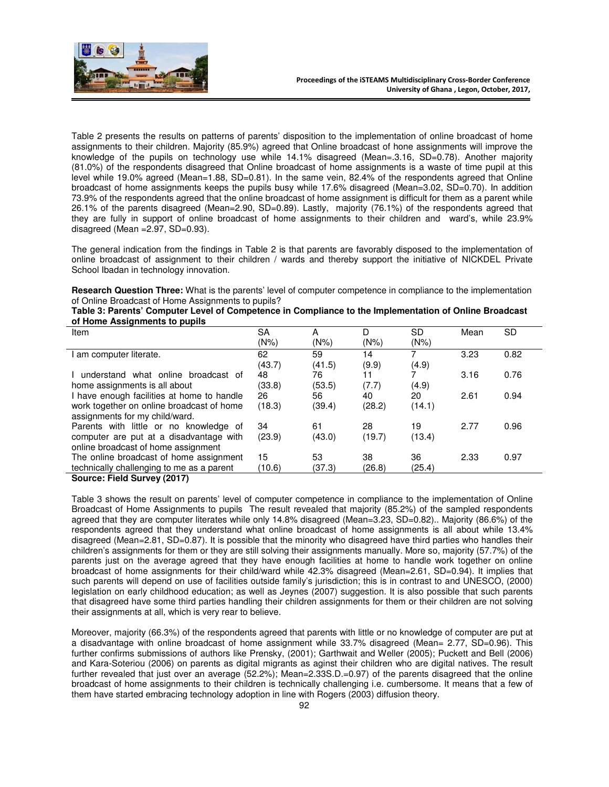

Table 2 presents the results on patterns of parents' disposition to the implementation of online broadcast of home assignments to their children. Majority (85.9%) agreed that Online broadcast of hone assignments will improve the knowledge of the pupils on technology use while 14.1% disagreed (Mean=.3.16, SD=0.78). Another majority (81.0%) of the respondents disagreed that Online broadcast of home assignments is a waste of time pupil at this level while 19.0% agreed (Mean=1.88, SD=0.81). In the same vein, 82.4% of the respondents agreed that Online broadcast of home assignments keeps the pupils busy while 17.6% disagreed (Mean=3.02, SD=0.70). In addition 73.9% of the respondents agreed that the online broadcast of home assignment is difficult for them as a parent while 26.1% of the parents disagreed (Mean=2.90, SD=0.89). Lastly, majority (76.1%) of the respondents agreed that they are fully in support of online broadcast of home assignments to their children and ward's, while 23.9% disagreed (Mean  $=2.97$ , SD $=0.93$ ).

The general indication from the findings in Table 2 is that parents are favorably disposed to the implementation of online broadcast of assignment to their children / wards and thereby support the initiative of NICKDEL Private School Ibadan in technology innovation.

**Research Question Three:** What is the parents' level of computer competence in compliance to the implementation of Online Broadcast of Home Assignments to pupils?

|                               | Table 3: Parents' Computer Level of Competence in Compliance to the Implementation of Online Broadcast |  |  |  |
|-------------------------------|--------------------------------------------------------------------------------------------------------|--|--|--|
| of Home Assignments to pupils |                                                                                                        |  |  |  |

| Item                                       | SА     | A      | D       | SD      | Mean | SD   |
|--------------------------------------------|--------|--------|---------|---------|------|------|
|                                            | (N%)   | (N%)   | $(N\%)$ | $(N\%)$ |      |      |
| am computer literate.                      | 62     | 59     | 14      |         | 3.23 | 0.82 |
|                                            | (43.7) | (41.5) | (9.9)   | (4.9)   |      |      |
| understand what online broadcast of        | 48     | 76     |         |         | 3.16 | 0.76 |
| home assignments is all about              | (33.8) | (53.5) | (7.7)   | (4.9)   |      |      |
| I have enough facilities at home to handle | 26     | 56     | 40      | 20      | 2.61 | 0.94 |
| work together on online broadcast of home  | (18.3) | (39.4) | (28.2)  | (14.1)  |      |      |
| assignments for my child/ward.             |        |        |         |         |      |      |
| Parents with little or no knowledge of     | 34     | 61     | 28      | 19      | 2.77 | 0.96 |
| computer are put at a disadvantage with    | (23.9) | (43.0) | (19.7)  | (13.4)  |      |      |
| online broadcast of home assignment        |        |        |         |         |      |      |
| The online broadcast of home assignment    | 15     | 53     | 38      | 36      | 2.33 | 0.97 |
| technically challenging to me as a parent  | (10.6) | (37.3) | (26.8)  | (25.4)  |      |      |
|                                            |        |        |         |         |      |      |

**Source: Field Survey (2017)** 

Table 3 shows the result on parents' level of computer competence in compliance to the implementation of Online Broadcast of Home Assignments to pupils The result revealed that majority (85.2%) of the sampled respondents agreed that they are computer literates while only 14.8% disagreed (Mean=3.23, SD=0.82).. Majority (86.6%) of the respondents agreed that they understand what online broadcast of home assignments is all about while 13.4% disagreed (Mean=2.81, SD=0.87). It is possible that the minority who disagreed have third parties who handles their children's assignments for them or they are still solving their assignments manually. More so, majority (57.7%) of the parents just on the average agreed that they have enough facilities at home to handle work together on online broadcast of home assignments for their child/ward while 42.3% disagreed (Mean=2.61, SD=0.94). It implies that such parents will depend on use of facilities outside family's jurisdiction; this is in contrast to and UNESCO, (2000) legislation on early childhood education; as well as Jeynes (2007) suggestion. It is also possible that such parents that disagreed have some third parties handling their children assignments for them or their children are not solving their assignments at all, which is very rear to believe.

Moreover, majority (66.3%) of the respondents agreed that parents with little or no knowledge of computer are put at a disadvantage with online broadcast of home assignment while 33.7% disagreed (Mean= 2.77, SD=0.96). This further confirms submissions of authors like Prensky, (2001); Garthwait and Weller (2005); Puckett and Bell (2006) and Kara-Soteriou (2006) on parents as digital migrants as aginst their children who are digital natives. The result further revealed that just over an average (52.2%); Mean=2.33S.D.=0.97) of the parents disagreed that the online broadcast of home assignments to their children is technically challenging i.e. cumbersome. It means that a few of them have started embracing technology adoption in line with Rogers (2003) diffusion theory.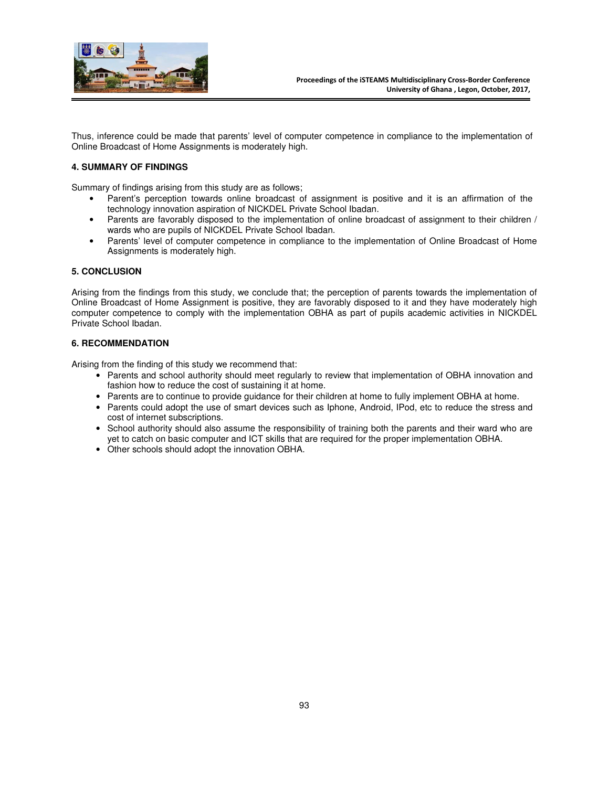

Thus, inference could be made that parents' level of computer competence in compliance to the implementation of Online Broadcast of Home Assignments is moderately high.

## **4. SUMMARY OF FINDINGS**

Summary of findings arising from this study are as follows;

- Parent's perception towards online broadcast of assignment is positive and it is an affirmation of the technology innovation aspiration of NICKDEL Private School Ibadan.
- Parents are favorably disposed to the implementation of online broadcast of assignment to their children / wards who are pupils of NICKDEL Private School Ibadan.
- Parents' level of computer competence in compliance to the implementation of Online Broadcast of Home Assignments is moderately high.

## **5. CONCLUSION**

Arising from the findings from this study, we conclude that; the perception of parents towards the implementation of Online Broadcast of Home Assignment is positive, they are favorably disposed to it and they have moderately high computer competence to comply with the implementation OBHA as part of pupils academic activities in NICKDEL Private School Ibadan.

## **6. RECOMMENDATION**

Arising from the finding of this study we recommend that:

- Parents and school authority should meet regularly to review that implementation of OBHA innovation and fashion how to reduce the cost of sustaining it at home.
- Parents are to continue to provide guidance for their children at home to fully implement OBHA at home.
- Parents could adopt the use of smart devices such as Iphone, Android, IPod, etc to reduce the stress and cost of internet subscriptions.
- School authority should also assume the responsibility of training both the parents and their ward who are yet to catch on basic computer and ICT skills that are required for the proper implementation OBHA.
- Other schools should adopt the innovation OBHA.